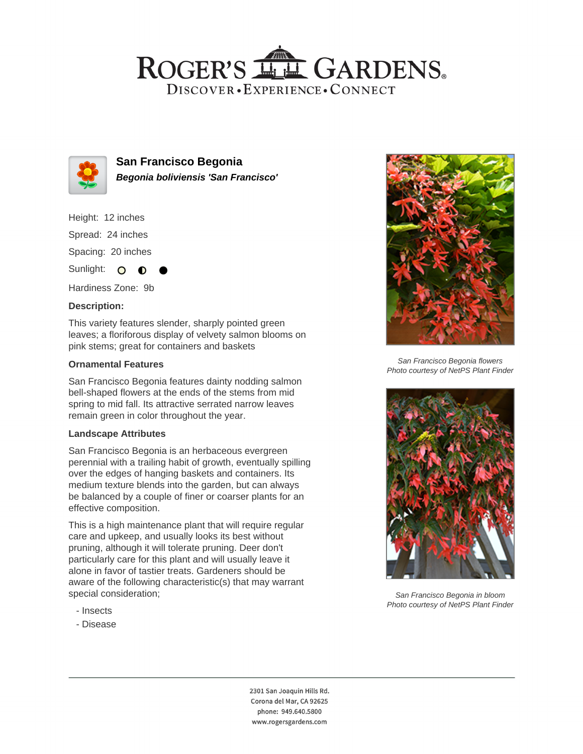# ROGER'S LL GARDENS. DISCOVER · EXPERIENCE · CONNECT



**San Francisco Begonia Begonia boliviensis 'San Francisco'**

Height: 12 inches Spread: 24 inches

Spacing: 20 inches

Sunlight:  $\circ$ ∩

Hardiness Zone: 9b

### **Description:**

This variety features slender, sharply pointed green leaves; a floriforous display of velvety salmon blooms on pink stems; great for containers and baskets

### **Ornamental Features**

San Francisco Begonia features dainty nodding salmon bell-shaped flowers at the ends of the stems from mid spring to mid fall. Its attractive serrated narrow leaves remain green in color throughout the year.

#### **Landscape Attributes**

San Francisco Begonia is an herbaceous evergreen perennial with a trailing habit of growth, eventually spilling over the edges of hanging baskets and containers. Its medium texture blends into the garden, but can always be balanced by a couple of finer or coarser plants for an effective composition.

This is a high maintenance plant that will require regular care and upkeep, and usually looks its best without pruning, although it will tolerate pruning. Deer don't particularly care for this plant and will usually leave it alone in favor of tastier treats. Gardeners should be aware of the following characteristic(s) that may warrant special consideration;

- Insects
- Disease



San Francisco Begonia flowers Photo courtesy of NetPS Plant Finder



San Francisco Begonia in bloom Photo courtesy of NetPS Plant Finder

2301 San Joaquin Hills Rd. Corona del Mar, CA 92625 phone: 949.640.5800 www.rogersgardens.com